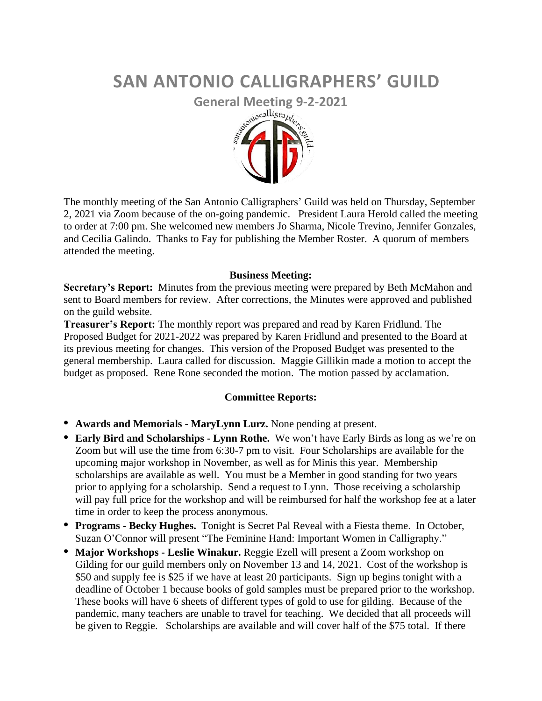## **SAN ANTONIO CALLIGRAPHERS' GUILD**



The monthly meeting of the San Antonio Calligraphers' Guild was held on Thursday, September 2, 2021 via Zoom because of the on-going pandemic. President Laura Herold called the meeting to order at 7:00 pm. She welcomed new members Jo Sharma, Nicole Trevino, Jennifer Gonzales, and Cecilia Galindo. Thanks to Fay for publishing the Member Roster. A quorum of members attended the meeting.

## **Business Meeting:**

**Secretary's Report:** Minutes from the previous meeting were prepared by Beth McMahon and sent to Board members for review. After corrections, the Minutes were approved and published on the guild website.

**Treasurer's Report:** The monthly report was prepared and read by Karen Fridlund. The Proposed Budget for 2021-2022 was prepared by Karen Fridlund and presented to the Board at its previous meeting for changes. This version of the Proposed Budget was presented to the general membership. Laura called for discussion. Maggie Gillikin made a motion to accept the budget as proposed. Rene Rone seconded the motion. The motion passed by acclamation.

## **Committee Reports:**

- **• Awards and Memorials - MaryLynn Lurz.** None pending at present.
- **• Early Bird and Scholarships - Lynn Rothe.** We won't have Early Birds as long as we're on Zoom but will use the time from 6:30-7 pm to visit. Four Scholarships are available for the upcoming major workshop in November, as well as for Minis this year. Membership scholarships are available as well. You must be a Member in good standing for two years prior to applying for a scholarship. Send a request to Lynn. Those receiving a scholarship will pay full price for the workshop and will be reimbursed for half the workshop fee at a later time in order to keep the process anonymous.
- **• Programs - Becky Hughes.** Tonight is Secret Pal Reveal with a Fiesta theme. In October, Suzan O'Connor will present "The Feminine Hand: Important Women in Calligraphy."
- **• Major Workshops - Leslie Winakur.** Reggie Ezell will present a Zoom workshop on Gilding for our guild members only on November 13 and 14, 2021. Cost of the workshop is \$50 and supply fee is \$25 if we have at least 20 participants. Sign up begins tonight with a deadline of October 1 because books of gold samples must be prepared prior to the workshop. These books will have 6 sheets of different types of gold to use for gilding. Because of the pandemic, many teachers are unable to travel for teaching. We decided that all proceeds will be given to Reggie. Scholarships are available and will cover half of the \$75 total. If there